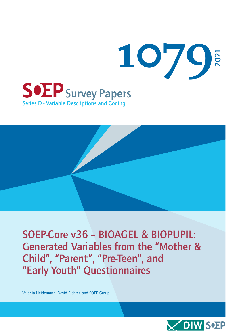

SOEP-Core v36 – BIOAGEL & BIOPUPIL: Generated Variables from the "Mother & Child", "Parent", "Pre-Teen", and "Early Youth" Questionnaires

Valeriia Heidemann, David Richter, and SOEP Group

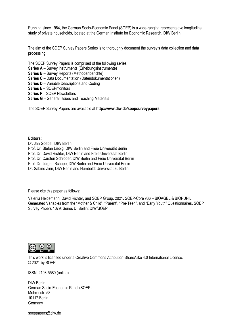Running since 1984, the German Socio-Economic Panel (SOEP) is a wide-ranging representative longitudinal study of private households, located at the German Institute for Economic Research, DIW Berlin.

The aim of the SOEP Survey Papers Series is to thoroughly document the survey's data collection and data processing.

The SOEP Survey Papers is comprised of the following series:

- **Series A** Survey Instruments (Erhebungsinstrumente)
- **Series B** Survey Reports (Methodenberichte)
- **Series C** Data Documentation (Datendokumentationen)
- **Series D** Variable Descriptions and Coding
- **Series E** SOEPmonitors
- **Series F** SOEP Newsletters
- **Series G** General Issues and Teaching Materials

The SOEP Survey Papers are available at **http://www.diw.de/soepsurveypapers**

**Editors:**  Dr. Jan Goebel, DIW Berlin Prof. Dr. Stefan Liebig, DIW Berlin and Freie Universität Berlin Prof. Dr. David Richter, DIW Berlin and Freie Universität Berlin Prof. Dr. Carsten Schröder, DIW Berlin and Freie Universität Berlin Prof. Dr. Jürgen Schupp, DIW Berlin and Freie Universität Berlin Dr. Sabine Zinn, DIW Berlin and Humboldt Universität zu Berlin

Please cite this paper as follows:

Valeriia Heidemann, David Richter, and SOEP Group. 2021. SOEP-Core v36 – BIOAGEL & BIOPUPIL: Generated Variables from the "Mother & Child", "Parent", "Pre-Teen", and "Early Youth" Questionnaires. SOEP Survey Papers 1079: Series D. Berlin: DIW/SOEP



This work is licensed under [a Creative Commons Attribution-ShareAlike 4.0 International License.](http://creativecommons.org/licenses/by-sa/4.0/) © 2021 by SOEP

ISSN: 2193-5580 (online)

DIW Berlin German Socio-Economic Panel (SOEP) Mohrenstr. 58 10117 Berlin **Germany** 

[soeppapers@diw.de](mailto:soeppapers@diw.de)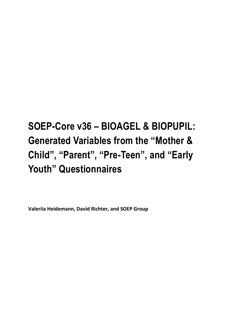# **SOEP-Core v36 – BIOAGEL & BIOPUPIL: Generated Variables from the "Mother & Child", "Parent", "Pre-Teen", and "Early Youth" Questionnaires**

**Valeriia Heidemann, David Richter, and SOEP Group**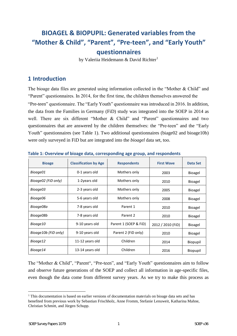## **BIOAGEL & BIOPUPIL: Generated variables from the "Mother & Child", "Parent", "Pre-teen", and "Early Youth" questionnaires**

by Valeriia Heidemann & David Richter<sup>1</sup>

## **1 Introduction**

The bioage data files are generated using information collected in the "Mother & Child" and "Parent" questionnaires. In 2014, for the first time, the children themselves answered the

"Pre-teen" questionnaire. The "Early Youth" questionnaire was introduced in 2016. In addition, the data from the Families in Germany (FiD) study was integrated into the SOEP in 2014 as well. There are six different "Mother & Child" and "Parent" questionnaires and two questionnaires that are answered by the children themselves: the "Pre-teen" and the "Early Youth" questionnaires (see Table 1). Two additional questionnaires (biage02 and bioage10b) were only surveyed in FiD but are integrated into the *bioagel* data set, too.

| <b>Bioage</b>        | <b>Classification by Age</b> | <b>Respondents</b>    | <b>First Wave</b> | Data Set       |
|----------------------|------------------------------|-----------------------|-------------------|----------------|
| Bioage01             | 0-1 years old                | Mothers only          | 2003              | <b>Bioagel</b> |
| Bioage02 (FiD only)  | 1-2years old                 | Mothers only          | 2010              | <b>Bioagel</b> |
| Bioage03             | 2-3 years old                | Mothers only          | 2005              | <b>Bioagel</b> |
| Bioage06             | 5-6 years old                | Mothers only          | 2008              | <b>Bioagel</b> |
| Bioage08a            | 7-8 years old                | Parent 1              | 2010              | <b>Bioagel</b> |
| Bioage08b            | 7-8 years old                | Parent 2              | 2010              | <b>Bioagel</b> |
| Bioage10             | 9-10 years old               | Parent 1 (SOEP & FiD) | 2012 / 2010 (FiD) | <b>Bioagel</b> |
| Bioage10b (FiD only) | 9-10 years old               | Parent 2 (FiD only)   | 2010              | Bioagel        |
| Bioage12             | 11-12 years old              | Children              | 2014              | Biopupil       |
| Bioage14             | 13-14 years old              | Children              | 2016              | Biopupil       |

**Table 1: Overview of bioage data, corresponding age group, and respondents** 

The "Mother & Child", "Parent", "Pre-teen", and "Early Youth" questionnaires aim to follow and observe future generations of the SOEP and collect all information in age-specific files, even though the data come from different survey years. As we try to make this process as

 $\overline{a}$ 

 $1$ . This documentation is based on earlier versions of documentation materials on bioage data sets and has benefited from previous work by Sebastian Frischholz, Anne Fromm, Stefanie Lenuweit, Katharina Mahne, Christian Schmitt, and Jürgen Schupp.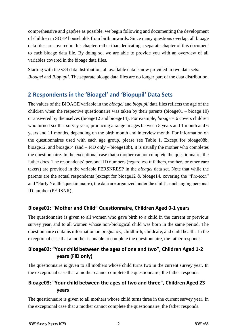comprehensive and gapfree as possible, we begin following and documenting the development of children in SOEP households from birth onwards. Since many questions overlap, all bioage data files are covered in this chapter, rather than dedicating a separate chapter of this document to each bioage data file. By doing so, we are able to provide you with an overview of all variables covered in the bioage data files.

Starting with the v34 data distribution, all available data is now provided in two data sets: *Bioagel* and *Biopupil*. The separate bioage data files are no longer part of the data distribution.

## **2 Respondents in the 'Bioagel' and 'Biopupil' Data Sets**

The values of the BIOAGE variable in the *bioagel* and *biopupil* data files reflects the age of the children when the respective questionnaire was taken by their parents (bioage $01 - b$ ioage 10) or answered by themselves (bioage12 and bioage14). For example, *bioage* = 6 covers children who turned six that survey year, producing a range in ages between 5 years and 1 month and 6 years and 11 months, depending on the birth month and interview month. For information on the questionnaires used with each age group, please see Table 1. Except for bioage08b, bioage12, and bioage14 (and – FiD only – bioage10b), it is usually the mother who completes the questionnaire. In the exceptional case that a mother cannot complete the questionnaire, the father does. The respondents' personal ID numbers (regardless if fathers, mothers or other care takers) are provided in the variable PERSNRESP in the *bioagel* data set. Note that while the parents are the actual respondents (except for bioage12 & bioage14, covering the "Pre-teen" and "Early Youth" questionnaire), the data are organized under the child's unchanging personal ID number (PERSNR).

#### **Bioage01: "Mother and Child" Questionnaire, Children Aged 0-1 years**

The questionnaire is given to all women who gave birth to a child in the current or previous survey year, and to all women whose non-biological child was born in the same period. The questionnaire contains information on pregnancy, childbirth, childcare, and child health. In the exceptional case that a mother is unable to complete the questionnaire, the father responds.

#### **Bioage02: "Your child between the ages of one and two", Children Aged 1-2 years (FiD only)**

The questionnaire is given to all mothers whose child turns two in the current survey year. In the exceptional case that a mother cannot complete the questionnaire, the father responds.

#### **Bioage03: "Your child between the ages of two and three", Children Aged 23 years**

The questionnaire is given to all mothers whose child turns three in the current survey year. In the exceptional case that a mother cannot complete the questionnaire, the father responds.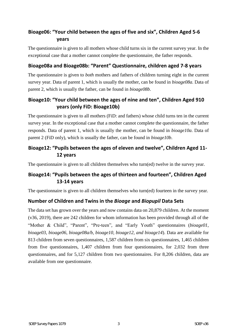## **Bioage06: "Your child between the ages of five and six", Children Aged 5-6 years**

The questionnaire is given to all mothers whose child turns six in the current survey year. In the exceptional case that a mother cannot complete the questionnaire, the father responds.

#### **Bioage08a and Bioage08b: "Parent" Questionnaire, children aged 7-8 years**

The questionnaire is given to *both* mothers and fathers of children turning eight in the current survey year. Data of parent 1, which is usually the mother, can be found in *bioage08a*. Data of parent 2, which is usually the father, can be found in *bioage08b*.

## **Bioage10: "Your child between the ages of nine and ten", Children Aged 910 years (only FiD: Bioage10b)**

The questionnaire is given to all mothers (FiD: and fathers) whose child turns ten in the current survey year. In the exceptional case that a mother cannot complete the questionnaire, the father responds. Data of parent 1, which is usually the mother, can be found in *bioage10a*. Data of parent 2 (FiD only), which is usually the father, can be found in *bioage10b*.

## **Bioage12: "Pupils between the ages of eleven and twelve", Children Aged 11- 12 years**

The questionnaire is given to all children themselves who turn(ed) twelve in the survey year.

## **Bioage14: "Pupils between the ages of thirteen and fourteen", Children Aged 13-14 years**

The questionnaire is given to all children themselves who turn(ed) fourteen in the survey year.

#### **Number of Children and Twins in the** *Bioage* **and** *Biopupil* **Data Sets**

The data set has grown over the years and now contains data on 20,879 children. At the moment (v36, 2019), there are 242 children for whom information has been provided through all of the "Mother & Child", "Parent", "Pre-teen", and "Early Youth" questionnaires (*bioage01*, *bioage03*, *bioage06*, *bioage08a/b, bioage10, bioage12, and bioage14*). Data are available for 813 children from seven questionnaires, 1,587 children from six questionnaires, 1,465 children from five questionnaires, 1,407 children from four questionnaires, for 2,032 from three questionnaires, and for 5,127 children from two questionnaires. For 8,206 children, data are available from one questionnaire.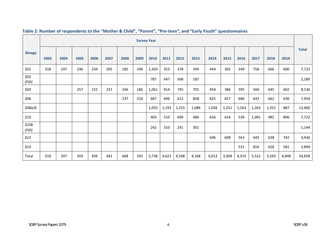|                |      |      |      |      |      |      |      | <b>Survey Year</b> |       |       |       |       |       |       |       |       |       |              |
|----------------|------|------|------|------|------|------|------|--------------------|-------|-------|-------|-------|-------|-------|-------|-------|-------|--------------|
| <b>Bioage</b>  | 2003 | 2004 | 2005 | 2006 | 2007 | 2008 | 2009 | 2010               | 2011  | 2012  | 2013  | 2014  | 2015  | 2016  | 2017  | 2018  | 2019  | <b>Total</b> |
| \$01           | 318  | 247  | 246  | 234  | 205  | 185  | 196  | 1,503              | 353   | 378   | 349   | 444   | 302   | 349   | 758   | 666   | 600   | 7,723        |
| \$02<br>(FiD)  |      |      |      |      |      |      |      | 787                | 647   | 568   | 187   |       |       |       |       |       |       | 2,189        |
| \$03           |      |      | 257  | 222  | 237  | 246  | 186  | 1,061              | 914   | 745   | 701   | 454   | 386   | 395   | 560   | 645   | 602   | 8,136        |
| \$06           |      |      |      |      |      | 237  | 210  | 687                | 696   | 612   | 858   | 825   | 657   | 686   | 643   | 662   | 630   | 7,954        |
| \$08a/b        |      |      |      |      |      |      |      | 1,055              | 1,193 | 1,215 | 1,086 | 1,028 | 1,251 | 1,263 | 1,263 | 1,352 | 887   | 12,460       |
| \$10           |      |      |      |      |      |      |      | 403                | 510   | 699   | 686   | 656   | 616   | 539   | 1,001 | 982   | 806   | 7,722        |
| \$10b<br>(FiD) |      |      |      |      |      |      |      | 242                | 310   | 291   | 301   |       |       |       |       |       |       | 1,144        |
| \$12           |      |      |      |      |      |      |      |                    |       |       |       | 606   | 608   | 563   | 643   | 628   | 742   | 4,436        |
| §14            |      |      |      |      |      |      |      |                    |       |       |       |       |       | 531   | 654   | 628   | 581   | 2,894        |
| Total          | 318  | 247  | 503  | 456  | 442  | 668  | 592  | 5,738              | 4,623 | 4,508 | 4,168 | 4,013 | 3,904 | 4,314 | 5,522 | 5,563 | 4,848 | 54,658       |

#### **Table 2: Number of respondents to the "Mother & Child", "Parent", "Pre-teen", and "Early Youth" questionnaires**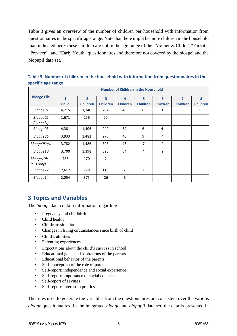Table 3 gives an overview of the number of children per household with information from questionnaires in the specific age range. Note that there might be more children in the household than indicated here: these children are not in the age range of the "Mother & Child", "Parent", "Pre-teen", and "Early Youth" questionnaires and therefore not covered by the bioagel and the biopupil data set.

|                    | <b>Number of Children in the Household</b> |                 |                 |                 |                 |                 |                 |                 |
|--------------------|--------------------------------------------|-----------------|-----------------|-----------------|-----------------|-----------------|-----------------|-----------------|
| <b>Bioage File</b> | $\mathbf{1}$                               | $\overline{2}$  | 3               | 4               | 5               | 6               | $\overline{7}$  | 8               |
|                    | <b>Child</b>                               | <b>Children</b> | <b>Children</b> | <b>Children</b> | <b>Children</b> | <b>Children</b> | <b>Children</b> | <b>Children</b> |
| Bioage01           | 4,215                                      | 1,340           | 204             | 40              | 6               | 3               |                 | 1               |
| Bioage02           | 1,671                                      | 256             | 20              |                 |                 |                 |                 |                 |
| (FiD only)         |                                            |                 |                 |                 |                 |                 |                 |                 |
| Bioage03           | 4,381                                      | 1,406           | 242             | 39              | 6               | 4               | 1               |                 |
| Bioage06           | 3,933                                      | 1,482           | 276             | 40              | 9               | 4               |                 |                 |
| Bioage08a/b        | 3,782                                      | 1,486           | 303             | 43              | $\overline{7}$  | $\overline{2}$  |                 |                 |
| Bioage10           | 3,700                                      | 1,398           | 326             | 54              | 4               | $\overline{2}$  |                 |                 |
| Bioage10b          | 783                                        | 170             | $\overline{7}$  |                 |                 |                 |                 |                 |
| (FiD only)         |                                            |                 |                 |                 |                 |                 |                 |                 |
| Bioage12           | 2,617                                      | 728             | 110             | $\overline{7}$  | $\mathbf{1}$    |                 |                 |                 |
| Bioage14           | 2,054                                      | 375             | 26              | 3               |                 |                 |                 |                 |

**Table 3: Number of children in the household with information from questionnaires in the specific age range** 

## **3 Topics and Variables**

The *bioage* data contain information regarding

- Pregnancy and childbirth
- Child health
- Childcare situation
- Changes in living circumstances since birth of child
- Child's abilities
- Parenting experiences
- Expectations about the child's success in school
- Educational goals and aspirations of the parents
- Educational behavior of the parents
- Self-conception of the role of parents
- Self-report: independence and social experience
- Self-report: importance of social contacts
- Self-report of savings
- Self-report: interest in politics

The rules used to generate the variables from the questionnaires are consistent over the various *bioage* questionnaires. In the integrated *bioage* and *biopupil* data set, the data is presented in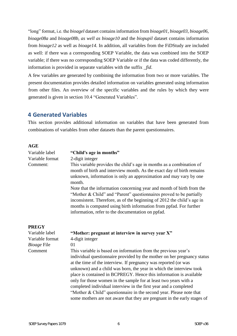"long" format, i.e. the *bioagel* dataset containsinformation from *bioage01*, *bioage03*, *bioage06*, *bioage08a* and *bioage08b, as well as bioage10* and the *biopupil* dataset contains information from *bioage12* as well as *bioage14*. In addition, all variables from the FiDStudy are included as well: if there was a corresponding SOEP Variable, the data was combined into the SOEP variable; if there was no corresponding SOEP Variable or if the data was coded differently, the information is provided in separate variables with the suffix *\_fid*.

A few variables are generated by combining the information from two or more variables. The present documentation provides detailed information on variables generated using information from other files. An overview of the specific variables and the rules by which they were generated is given in section 10.4 "Generated Variables".

#### **4 Generated Variables**

This section provides additional information on variables that have been generated from combinations of variables from other datasets than the parent questionnaires.

#### **AGE**

| Variable label              | "Child's age in months"                                                                                                                                                                                                                                                                                                  |  |  |  |  |  |  |
|-----------------------------|--------------------------------------------------------------------------------------------------------------------------------------------------------------------------------------------------------------------------------------------------------------------------------------------------------------------------|--|--|--|--|--|--|
| Variable format<br>Comment: | 2-digit integer<br>This variable provides the child's age in months as a combination of<br>month of birth and interview month. As the exact day of birth remains<br>unknown, information is only an approximation and may vary by one<br>month.<br>Note that the information concerning year and month of birth from the |  |  |  |  |  |  |
|                             | "Mother & Child" and "Parent" questionnaires proved to be partially<br>inconsistent. Therefore, as of the beginning of 2012 the child's age in<br>months is computed using birth information from ppfad. For further<br>information, refer to the documentation on ppfad.                                                |  |  |  |  |  |  |
| <b>PREGY</b>                |                                                                                                                                                                                                                                                                                                                          |  |  |  |  |  |  |
| Variable label              | "Mother: pregnant at interview in survey year X"                                                                                                                                                                                                                                                                         |  |  |  |  |  |  |
| Variable format             | 4-digit integer                                                                                                                                                                                                                                                                                                          |  |  |  |  |  |  |
| <b>Bioage File</b>          | 01                                                                                                                                                                                                                                                                                                                       |  |  |  |  |  |  |
| Comment                     | This variable is based on information from the previous year's                                                                                                                                                                                                                                                           |  |  |  |  |  |  |
|                             | individual questionnaire provided by the mother on her pregnancy status<br>at the time of the interview. If pregnancy was reported (or was                                                                                                                                                                               |  |  |  |  |  |  |
|                             | unknown) and a child was born, the year in which the interview took                                                                                                                                                                                                                                                      |  |  |  |  |  |  |
|                             | place is contained in BCPREGY. Hence this information is available                                                                                                                                                                                                                                                       |  |  |  |  |  |  |
|                             | only for those women in the sample for at least two years with a                                                                                                                                                                                                                                                         |  |  |  |  |  |  |
|                             | completed individual interview in the first year and a completed                                                                                                                                                                                                                                                         |  |  |  |  |  |  |
|                             | "Mother & Child" questionnaire in the second year. Please note that                                                                                                                                                                                                                                                      |  |  |  |  |  |  |
|                             | some mothers are not aware that they are pregnant in the early stages of                                                                                                                                                                                                                                                 |  |  |  |  |  |  |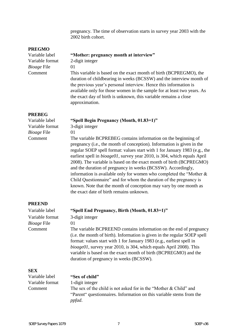pregnancy. The time of observation starts in survey year 2003 with the 2002 birth cohort.

| <b>PREGMO</b>      |                                                                                                                                                                                                                                                                                                                                                                                                                                                                                                                                                                                                                                                                                                            |
|--------------------|------------------------------------------------------------------------------------------------------------------------------------------------------------------------------------------------------------------------------------------------------------------------------------------------------------------------------------------------------------------------------------------------------------------------------------------------------------------------------------------------------------------------------------------------------------------------------------------------------------------------------------------------------------------------------------------------------------|
| Variable label     | "Mother: pregnancy month at interview"                                                                                                                                                                                                                                                                                                                                                                                                                                                                                                                                                                                                                                                                     |
| Variable format    | 2-digit integer                                                                                                                                                                                                                                                                                                                                                                                                                                                                                                                                                                                                                                                                                            |
| <b>Bioage File</b> | 01                                                                                                                                                                                                                                                                                                                                                                                                                                                                                                                                                                                                                                                                                                         |
| Comment            | This variable is based on the exact month of birth (BCPREGMO), the<br>duration of childbearing in weeks (BCSSW) and the interview month of<br>the previous year's personal interview. Hence this information is<br>available only for those women in the sample for at least two years. As<br>the exact day of birth is unknown, this variable remains a close<br>approximation.                                                                                                                                                                                                                                                                                                                           |
| <b>PREBEG</b>      |                                                                                                                                                                                                                                                                                                                                                                                                                                                                                                                                                                                                                                                                                                            |
| Variable label     | "Spell Begin Pregnancy (Month, 01.83=1)"                                                                                                                                                                                                                                                                                                                                                                                                                                                                                                                                                                                                                                                                   |
| Variable format    | 3-digit integer                                                                                                                                                                                                                                                                                                                                                                                                                                                                                                                                                                                                                                                                                            |
| <b>Bioage File</b> | 01                                                                                                                                                                                                                                                                                                                                                                                                                                                                                                                                                                                                                                                                                                         |
| Comment            | The variable BCPREBEG contains information on the beginning of<br>pregnancy (i.e., the month of conception). Information is given in the<br>regular SOEP spell format: values start with 1 for January 1983 (e.g., the<br>earliest spell in bioage01, survey year 2010, is 304, which equals April<br>2008). The variable is based on the exact month of birth (BCPREGMO)<br>and the duration of pregnancy in weeks (BCSSW). Accordingly,<br>information is available only for women who completed the "Mother $\&$<br>Child Questionnaire" and for whom the duration of the pregnancy is<br>known. Note that the month of conception may vary by one month as<br>the exact date of birth remains unknown. |
| <b>PREEND</b>      |                                                                                                                                                                                                                                                                                                                                                                                                                                                                                                                                                                                                                                                                                                            |
| Variable label     | "Spell End Pregnancy, Birth (Month, 01.83=1)"                                                                                                                                                                                                                                                                                                                                                                                                                                                                                                                                                                                                                                                              |
| Variable format    | 3-digit integer                                                                                                                                                                                                                                                                                                                                                                                                                                                                                                                                                                                                                                                                                            |
| <i>Bioage</i> File | 01                                                                                                                                                                                                                                                                                                                                                                                                                                                                                                                                                                                                                                                                                                         |
| Comment            | The variable BCPREEND contains information on the end of pregnancy<br>(i.e. the month of birth). Information is given in the regular SOEP spell<br>format: values start with 1 for January 1983 (e.g., earliest spell in<br>$bioge01$ , survey year 2010, is 304, which equals April 2008). This<br>variable is based on the exact month of birth (BCPREGMO) and the<br>duration of pregnancy in weeks (BCSSW).                                                                                                                                                                                                                                                                                            |
| <b>SEX</b>         |                                                                                                                                                                                                                                                                                                                                                                                                                                                                                                                                                                                                                                                                                                            |
| Variable label     | "Sex of child"                                                                                                                                                                                                                                                                                                                                                                                                                                                                                                                                                                                                                                                                                             |
| Variable format    | 1-digit integer                                                                                                                                                                                                                                                                                                                                                                                                                                                                                                                                                                                                                                                                                            |
| Comment            | The sex of the child is not asked for in the "Mother & Child" and<br>"Parent" questionnaires. Information on this variable stems from the<br>ppfad.                                                                                                                                                                                                                                                                                                                                                                                                                                                                                                                                                        |